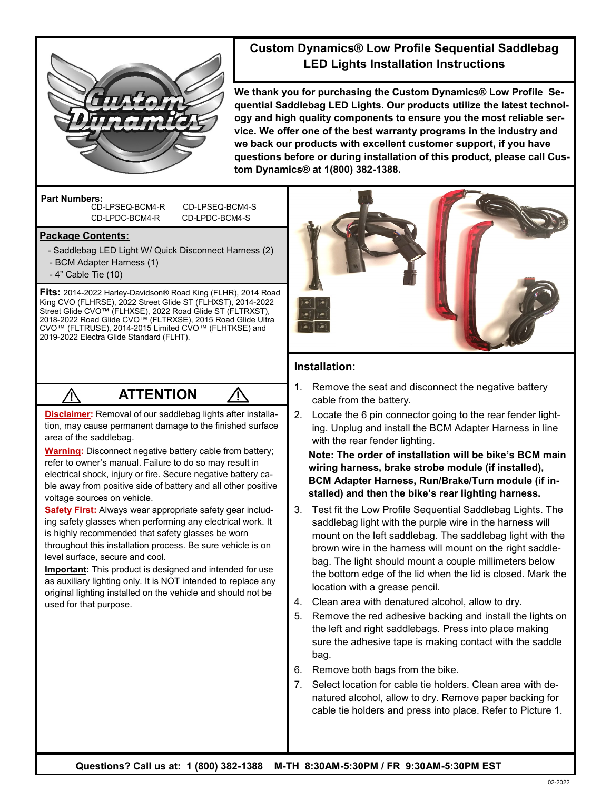

### **Custom Dynamics® Low Profile Sequential Saddlebag LED Lights Installation Instructions**

**We thank you for purchasing the Custom Dynamics® Low Profile Sequential Saddlebag LED Lights. Our products utilize the latest technology and high quality components to ensure you the most reliable service. We offer one of the best warranty programs in the industry and we back our products with excellent customer support, if you have questions before or during installation of this product, please call Custom Dynamics® at 1(800) 382-1388.**

**Part Numbers:** 

CD-LPSEQ-BCM4-R CD-LPSEQ-BCM4-S CD-LPDC-BCM4-R CD-LPDC-BCM4-S

#### **Package Contents:**

- Saddlebag LED Light W/ Quick Disconnect Harness (2)
- BCM Adapter Harness (1)
- 4" Cable Tie (10)

**Fits:** 2014-2022 Harley-Davidson® Road King (FLHR), 2014 Road King CVO (FLHRSE), 2022 Street Glide ST (FLHXST), 2014-2022 Street Glide CVO™ (FLHXSE), 2022 Road Glide ST (FLTRXST), 2018-2022 Road Glide CVO™ (FLTRXSE), 2015 Road Glide Ultra CVO™ (FLTRUSE), 2014-2015 Limited CVO™ (FLHTKSE) and 2019-2022 Electra Glide Standard (FLHT).

# **ATTENTION**

**Disclaimer:** Removal of our saddlebag lights after installation, may cause permanent damage to the finished surface area of the saddlebag.

**Warning:** Disconnect negative battery cable from battery; refer to owner's manual. Failure to do so may result in electrical shock, injury or fire. Secure negative battery cable away from positive side of battery and all other positive voltage sources on vehicle.

**Safety First:** Always wear appropriate safety gear including safety glasses when performing any electrical work. It is highly recommended that safety glasses be worn throughout this installation process. Be sure vehicle is on level surface, secure and cool.

**Important:** This product is designed and intended for use as auxiliary lighting only. It is NOT intended to replace any original lighting installed on the vehicle and should not be used for that purpose.



#### **Installation:**

- 1. Remove the seat and disconnect the negative battery cable from the battery.
- 2. Locate the 6 pin connector going to the rear fender lighting. Unplug and install the BCM Adapter Harness in line with the rear fender lighting.

**Note: The order of installation will be bike's BCM main wiring harness, brake strobe module (if installed), BCM Adapter Harness, Run/Brake/Turn module (if installed) and then the bike's rear lighting harness.** 

- 3. Test fit the Low Profile Sequential Saddlebag Lights. The saddlebag light with the purple wire in the harness will mount on the left saddlebag. The saddlebag light with the brown wire in the harness will mount on the right saddlebag. The light should mount a couple millimeters below the bottom edge of the lid when the lid is closed. Mark the location with a grease pencil.
- 4. Clean area with denatured alcohol, allow to dry.
- 5. Remove the red adhesive backing and install the lights on the left and right saddlebags. Press into place making sure the adhesive tape is making contact with the saddle bag.
- 6. Remove both bags from the bike.
- 7. Select location for cable tie holders. Clean area with denatured alcohol, allow to dry. Remove paper backing for cable tie holders and press into place. Refer to Picture 1.